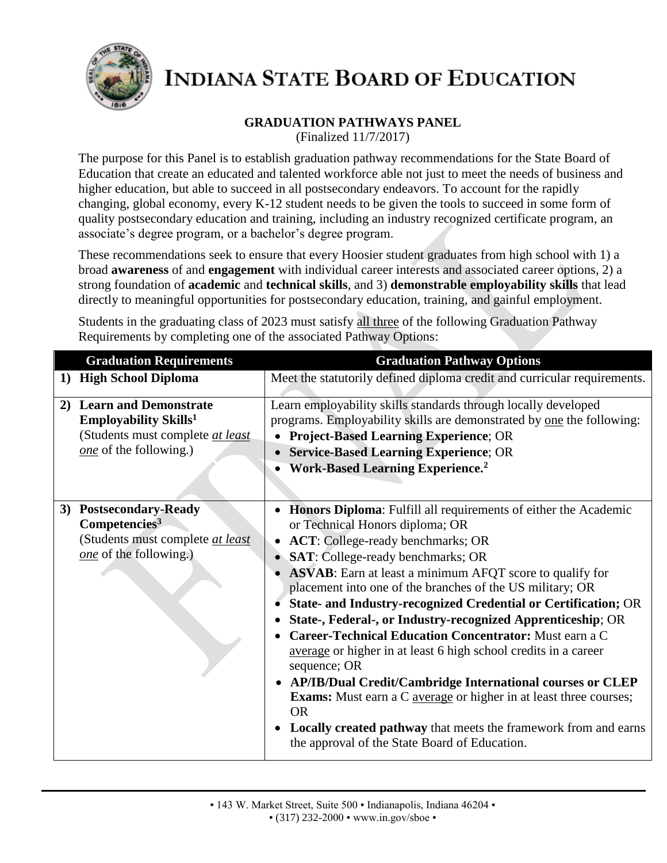

## **GRADUATION PATHWAYS PANEL**

(Finalized 11/7/2017)

The purpose for this Panel is to establish graduation pathway recommendations for the State Board of Education that create an educated and talented workforce able not just to meet the needs of business and higher education, but able to succeed in all postsecondary endeavors. To account for the rapidly changing, global economy, every K-12 student needs to be given the tools to succeed in some form of quality postsecondary education and training, including an industry recognized certificate program, an associate's degree program, or a bachelor's degree program.

These recommendations seek to ensure that every Hoosier student graduates from high school with 1) a broad **awareness** of and **engagement** with individual career interests and associated career options, 2) a strong foundation of **academic** and **technical skills**, and 3) **demonstrable employability skills** that lead directly to meaningful opportunities for postsecondary education, training, and gainful employment.

Students in the graduating class of 2023 must satisfy all three of the following Graduation Pathway Requirements by completing one of the associated Pathway Options:

| <b>Graduation Requirements</b>                                                                                              | <b>Graduation Pathway Options</b>                                                                                                                                                                                                                                                                                                                                                                                                                                                                                                                                                                                                                                                                                                                                                                                                                                                                     |
|-----------------------------------------------------------------------------------------------------------------------------|-------------------------------------------------------------------------------------------------------------------------------------------------------------------------------------------------------------------------------------------------------------------------------------------------------------------------------------------------------------------------------------------------------------------------------------------------------------------------------------------------------------------------------------------------------------------------------------------------------------------------------------------------------------------------------------------------------------------------------------------------------------------------------------------------------------------------------------------------------------------------------------------------------|
| <b>High School Diploma</b><br>$\bf{1)}$                                                                                     | Meet the statutorily defined diploma credit and curricular requirements.                                                                                                                                                                                                                                                                                                                                                                                                                                                                                                                                                                                                                                                                                                                                                                                                                              |
| 2) Learn and Demonstrate<br>Employability Skills <sup>1</sup><br>(Students must complete at least<br>one of the following.) | Learn employability skills standards through locally developed<br>programs. Employability skills are demonstrated by one the following:<br><b>Project-Based Learning Experience; OR</b><br>• Service-Based Learning Experience; OR<br><b>Work-Based Learning Experience.</b> <sup>2</sup>                                                                                                                                                                                                                                                                                                                                                                                                                                                                                                                                                                                                             |
| 3) Postsecondary-Ready<br>Competencies <sup>3</sup><br>(Students must complete at least<br>one of the following.)           | Honors Diploma: Fulfill all requirements of either the Academic<br>or Technical Honors diploma; OR<br>• ACT: College-ready benchmarks; OR<br>SAT: College-ready benchmarks; OR<br><b>ASVAB</b> : Earn at least a minimum AFQT score to qualify for<br>placement into one of the branches of the US military; OR<br>State- and Industry-recognized Credential or Certification; OR<br>State-, Federal-, or Industry-recognized Apprenticeship; OR<br><b>Career-Technical Education Concentrator:</b> Must earn a C<br>average or higher in at least 6 high school credits in a career<br>sequence; OR<br>• AP/IB/Dual Credit/Cambridge International courses or CLEP<br><b>Exams:</b> Must earn a C <b><u>average</u></b> or higher in at least three courses;<br><b>OR</b><br><b>Locally created pathway</b> that meets the framework from and earns<br>the approval of the State Board of Education. |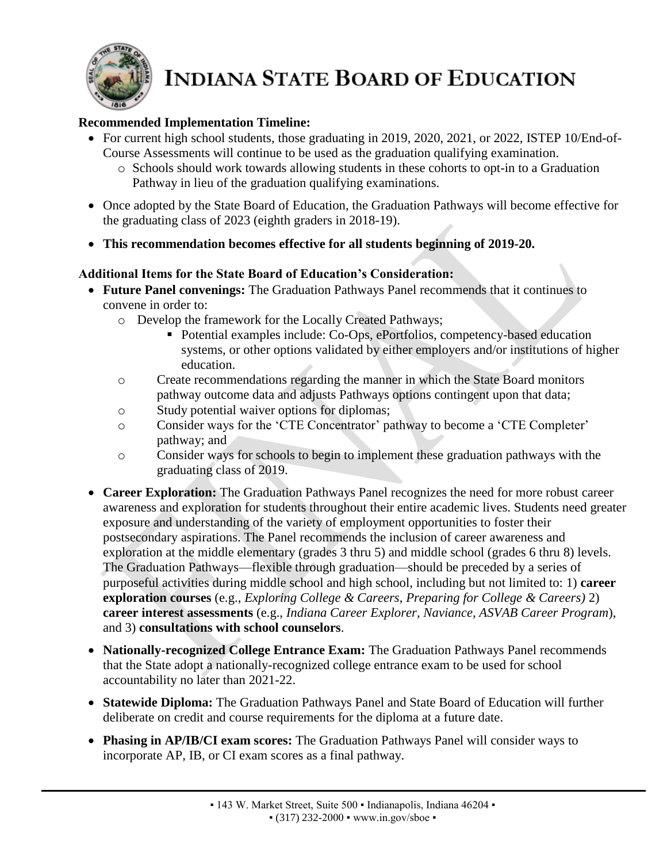

### **Recommended Implementation Timeline:**

- For current high school students, those graduating in 2019, 2020, 2021, or 2022, ISTEP 10/End-of-Course Assessments will continue to be used as the graduation qualifying examination.
	- o Schools should work towards allowing students in these cohorts to opt-in to a Graduation Pathway in lieu of the graduation qualifying examinations.
- Once adopted by the State Board of Education, the Graduation Pathways will become effective for the graduating class of 2023 (eighth graders in 2018-19).
- **This recommendation becomes effective for all students beginning of 2019-20.**

### **Additional Items for the State Board of Education's Consideration:**

- **Future Panel convenings:** The Graduation Pathways Panel recommends that it continues to convene in order to:
	- o Develop the framework for the Locally Created Pathways;
		- Potential examples include: Co-Ops, ePortfolios, competency-based education systems, or other options validated by either employers and/or institutions of higher education.
	- o Create recommendations regarding the manner in which the State Board monitors pathway outcome data and adjusts Pathways options contingent upon that data;
	- o Study potential waiver options for diplomas;
	- o Consider ways for the 'CTE Concentrator' pathway to become a 'CTE Completer' pathway; and
	- o Consider ways for schools to begin to implement these graduation pathways with the graduating class of 2019.
- **Career Exploration:** The Graduation Pathways Panel recognizes the need for more robust career awareness and exploration for students throughout their entire academic lives. Students need greater exposure and understanding of the variety of employment opportunities to foster their postsecondary aspirations. The Panel recommends the inclusion of career awareness and exploration at the middle elementary (grades 3 thru 5) and middle school (grades 6 thru 8) levels. The Graduation Pathways—flexible through graduation—should be preceded by a series of purposeful activities during middle school and high school, including but not limited to: 1) **career exploration courses** (e.g., *Exploring College & Careers*, *Preparing for College & Careers)* 2) **career interest assessments** (e.g., *Indiana Career Explorer, Naviance, ASVAB Career Program*), and 3) **consultations with school counselors**.
- **Nationally-recognized College Entrance Exam:** The Graduation Pathways Panel recommends that the State adopt a nationally-recognized college entrance exam to be used for school accountability no later than 2021-22.
- **Statewide Diploma:** The Graduation Pathways Panel and State Board of Education will further deliberate on credit and course requirements for the diploma at a future date.
- **Phasing in AP/IB/CI exam scores:** The Graduation Pathways Panel will consider ways to incorporate AP, IB, or CI exam scores as a final pathway.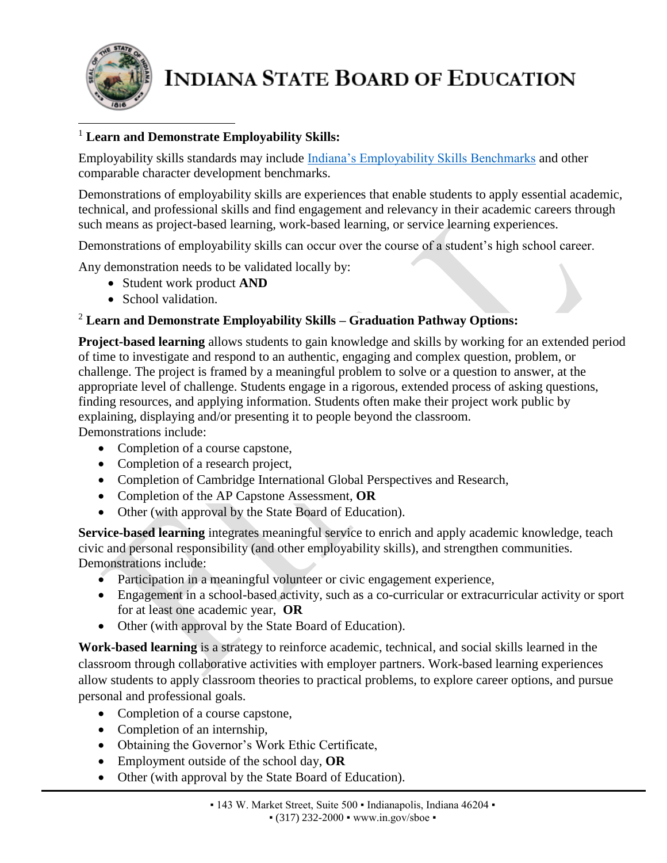

#### <sup>1</sup> **Learn and Demonstrate Employability Skills:**  $\overline{\phantom{a}}$

Employability skills standards may include [Indiana's Employability Skills Benchmarks](http://www.in.gov/dwd/files/IN_Employability_Skills.pdf) and other comparable character development benchmarks.

Demonstrations of employability skills are experiences that enable students to apply essential academic, technical, and professional skills and find engagement and relevancy in their academic careers through such means as project-based learning, work-based learning, or service learning experiences.

Demonstrations of employability skills can occur over the course of a student's high school career.

Any demonstration needs to be validated locally by:

- Student work product **AND**
- School validation.

### <sup>2</sup> **Learn and Demonstrate Employability Skills – Graduation Pathway Options:**

**Project-based learning** allows students to gain knowledge and skills by working for an extended period of time to investigate and respond to an authentic, engaging and complex question, problem, or challenge. The project is framed by a meaningful problem to solve or a question to answer, at the appropriate level of challenge. Students engage in a rigorous, extended process of asking questions, finding resources, and applying information. Students often make their project work public by explaining, displaying and/or presenting it to people beyond the classroom. Demonstrations include:

- Completion of a course capstone,
- Completion of a research project,
- Completion of Cambridge International Global Perspectives and Research,
- Completion of the AP Capstone Assessment, **OR**
- Other (with approval by the State Board of Education).

**Service-based learning** integrates meaningful service to enrich and apply academic knowledge, teach civic and personal responsibility (and other employability skills), and strengthen communities. Demonstrations include:

- Participation in a meaningful volunteer or civic engagement experience,
- Engagement in a school-based activity, such as a co-curricular or extracurricular activity or sport for at least one academic year, **OR**
- Other (with approval by the State Board of Education).

**Work-based learning** is a strategy to reinforce academic, technical, and social skills learned in the classroom through collaborative activities with employer partners. Work-based learning experiences allow students to apply classroom theories to practical problems, to explore career options, and pursue personal and professional goals.

- Completion of a course capstone,
- Completion of an internship,
- Obtaining the Governor's Work Ethic Certificate,
- Employment outside of the school day, **OR**
- Other (with approval by the State Board of Education).